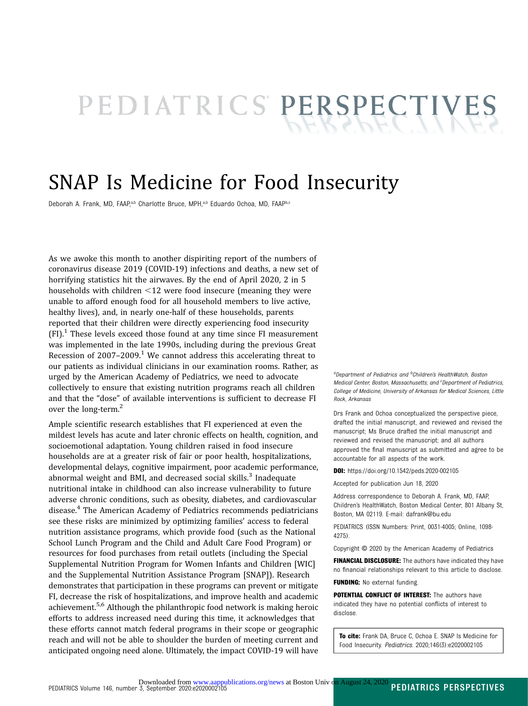# PEDIATRICS PERSPECTIVES

# SNAP Is Medicine for Food Insecurity

Deborah A. Frank, MD, FAAP,a,b Charlotte Bruce, MPH,a,b Eduardo Ochoa, MD, FAAPb,c

As we awoke this month to another dispiriting report of the numbers of coronavirus disease 2019 (COVID-19) infections and deaths, a new set of horrifying statistics hit the airwaves. By the end of April 2020, 2 in 5 households with children  $\leq$ 12 were food insecure (meaning they were unable to afford enough food for all household members to live active, healthy lives), and, in nearly one-half of these households, parents reported that their children were directly experiencing food insecurity  $(FI)^1$  $(FI)^1$ . These levels exceed those found at any time since FI measurement was implemented in the late 1990s, including during the previous Great Recession of  $2007-2009$ .<sup>1</sup> We cannot address this accelerating threat to our patients as individual clinicians in our examination rooms. Rather, as urged by the American Academy of Pediatrics, we need to advocate collectively to ensure that existing nutrition programs reach all children and that the "dose" of available interventions is sufficient to decrease FI over the long-term.<sup>[2](#page-2-0)</sup>

Ample scientific research establishes that FI experienced at even the mildest levels has acute and later chronic effects on health, cognition, and socioemotional adaptation. Young children raised in food insecure households are at a greater risk of fair or poor health, hospitalizations, developmental delays, cognitive impairment, poor academic performance, abnormal weight and BMI, and decreased social skills.<sup>[3](#page-2-0)</sup> Inadequate nutritional intake in childhood can also increase vulnerability to future adverse chronic conditions, such as obesity, diabetes, and cardiovascular disease.[4](#page-2-0) The American Academy of Pediatrics recommends pediatricians see these risks are minimized by optimizing families' access to federal nutrition assistance programs, which provide food (such as the National School Lunch Program and the Child and Adult Care Food Program) or resources for food purchases from retail outlets (including the Special Supplemental Nutrition Program for Women Infants and Children [WIC] and the Supplemental Nutrition Assistance Program [SNAP]). Research demonstrates that participation in these programs can prevent or mitigate FI, decrease the risk of hospitalizations, and improve health and academic achievement.[5,6](#page-2-0) Although the philanthropic food network is making heroic efforts to address increased need during this time, it acknowledges that these efforts cannot match federal programs in their scope or geographic reach and will not be able to shoulder the burden of meeting current and anticipated ongoing need alone. Ultimately, the impact COVID-19 will have

<sup>a</sup>Department of Pediatrics and <sup>b</sup>Children's HealthWatch, Boston Medical Center, Boston, Massachusetts; and <sup>c</sup>Department of Pediatrics, College of Medicine, University of Arkansas for Medical Sciences, Little Rock, Arkansas

Drs Frank and Ochoa conceptualized the perspective piece, drafted the initial manuscript, and reviewed and revised the manuscript; Ms Bruce drafted the initial manuscript and reviewed and revised the manuscript; and all authors approved the final manuscript as submitted and agree to be accountable for all aspects of the work.

DOI: <https://doi.org/10.1542/peds.2020-002105>

Accepted for publication Jun 18, 2020

Address correspondence to Deborah A. Frank, MD, FAAP, Children's HealthWatch, Boston Medical Center, 801 Albany St, Boston, MA 02119. E-mail: [dafrank@bu.edu](mailto:dafrank@bu.edu)

PEDIATRICS (ISSN Numbers: Print, 0031-4005; Online, 1098- 4275).

Copyright © 2020 by the American Academy of Pediatrics

FINANCIAL DISCLOSURE: The authors have indicated they have no financial relationships relevant to this article to disclose.

FUNDING: No external funding.

POTENTIAL CONFLICT OF INTEREST: The authors have indicated they have no potential conflicts of interest to disclose.

To cite: Frank DA, Bruce C, Ochoa E. SNAP Is Medicine for Food Insecurity. Pediatrics. 2020;146(3):e2020002105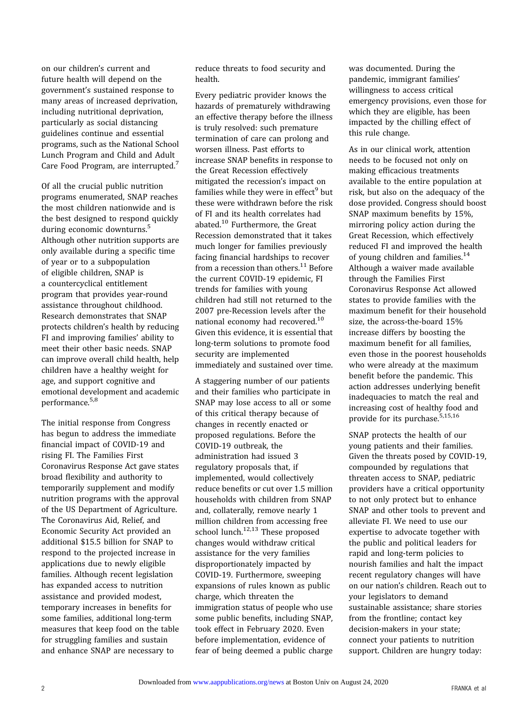on our children's current and future health will depend on the government's sustained response to many areas of increased deprivation, including nutritional deprivation, particularly as social distancing guidelines continue and essential programs, such as the National School Lunch Program and Child and Adult Care Food Program, are interrupted.<sup>[7](#page-2-0)</sup>

Of all the crucial public nutrition programs enumerated, SNAP reaches the most children nationwide and is the best designed to respond quickly during economic downturns.<sup>5</sup> Although other nutrition supports are only available during a specific time of year or to a subpopulation of eligible children, SNAP is a countercyclical entitlement program that provides year-round assistance throughout childhood. Research demonstrates that SNAP protects children's health by reducing FI and improving families' ability to meet their other basic needs. SNAP can improve overall child health, help children have a healthy weight for age, and support cognitive and emotional development and academic performance[.5](#page-2-0),[8](#page-2-0)

The initial response from Congress has begun to address the immediate financial impact of COVID-19 and rising FI. The Families First Coronavirus Response Act gave states broad flexibility and authority to temporarily supplement and modify nutrition programs with the approval of the US Department of Agriculture. The Coronavirus Aid, Relief, and Economic Security Act provided an additional \$15.5 billion for SNAP to respond to the projected increase in applications due to newly eligible families. Although recent legislation has expanded access to nutrition assistance and provided modest, temporary increases in benefits for some families, additional long-term measures that keep food on the table for struggling families and sustain and enhance SNAP are necessary to

reduce threats to food security and health.

Every pediatric provider knows the hazards of prematurely withdrawing an effective therapy before the illness is truly resolved: such premature termination of care can prolong and worsen illness. Past efforts to increase SNAP benefits in response to the Great Recession effectively mitigated the recession's impact on families while they were in effect<sup>[9](#page-2-0)</sup> but these were withdrawn before the risk of FI and its health correlates had abated.[10](#page-2-0) Furthermore, the Great Recession demonstrated that it takes much longer for families previously facing financial hardships to recover from a recession than others. $11$  Before the current COVID-19 epidemic, FI trends for families with young children had still not returned to the 2007 pre-Recession levels after the national economy had recovered[.10](#page-2-0) Given this evidence, it is essential that long-term solutions to promote food security are implemented immediately and sustained over time.

A staggering number of our patients and their families who participate in SNAP may lose access to all or some of this critical therapy because of changes in recently enacted or proposed regulations. Before the COVID-19 outbreak, the administration had issued 3 regulatory proposals that, if implemented, would collectively reduce benefits or cut over 1.5 million households with children from SNAP and, collaterally, remove nearly 1 million children from accessing free school lunch.<sup>[12](#page-2-0),[13](#page-2-0)</sup> These proposed changes would withdraw critical assistance for the very families disproportionately impacted by COVID-19. Furthermore, sweeping expansions of rules known as public charge, which threaten the immigration status of people who use some public benefits, including SNAP, took effect in February 2020. Even before implementation, evidence of fear of being deemed a public charge was documented. During the pandemic, immigrant families' willingness to access critical emergency provisions, even those for which they are eligible, has been impacted by the chilling effect of this rule change.

As in our clinical work, attention needs to be focused not only on making efficacious treatments available to the entire population at risk, but also on the adequacy of the dose provided. Congress should boost SNAP maximum benefits by 15%, mirroring policy action during the Great Recession, which effectively reduced FI and improved the health of young children and families. $14$ Although a waiver made available through the Families First Coronavirus Response Act allowed states to provide families with the maximum benefit for their household size, the across-the-board 15% increase differs by boosting the maximum benefit for all families, even those in the poorest households who were already at the maximum benefit before the pandemic. This action addresses underlying benefit inadequacies to match the real and increasing cost of healthy food and provide for its purchase.<sup>[5,15,16](#page-2-0)</sup>

SNAP protects the health of our young patients and their families. Given the threats posed by COVID-19, compounded by regulations that threaten access to SNAP, pediatric providers have a critical opportunity to not only protect but to enhance SNAP and other tools to prevent and alleviate FI. We need to use our expertise to advocate together with the public and political leaders for rapid and long-term policies to nourish families and halt the impact recent regulatory changes will have on our nation's children. Reach out to your legislators to demand sustainable assistance; share stories from the frontline; contact key decision-makers in your state; connect your patients to nutrition support. Children are hungry today: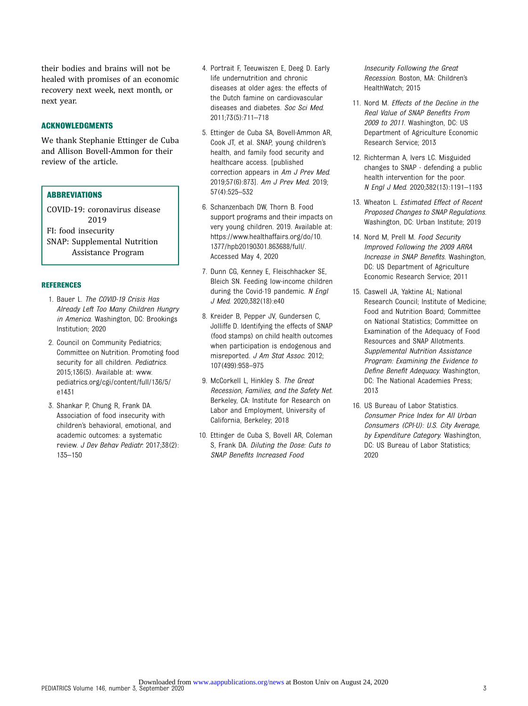<span id="page-2-0"></span>their bodies and brains will not be healed with promises of an economic recovery next week, next month, or next year.

#### ACKNOWLEDGMENTS

We thank Stephanie Ettinger de Cuba and Allison Bovell-Ammon for their review of the article.

### **ABBREVIATIONS**

COVID-19: coronavirus disease 2019 FI: food insecurity SNAP: Supplemental Nutrition Assistance Program

#### REFERENCES

- 1. Bauer L. The COVID-19 Crisis Has Already Left Too Many Children Hungry in America. Washington, DC: Brookings Institution; 2020
- 2. Council on Community Pediatrics; Committee on Nutrition. Promoting food security for all children. Pediatrics. 2015;136(5). Available at: [www.](http://www.pediatrics.org/cgi/content/FUll/136/5/e1431) [pediatrics.org/cgi/content/full/136/5/](http://www.pediatrics.org/cgi/content/FUll/136/5/e1431) [e1431](http://www.pediatrics.org/cgi/content/FUll/136/5/e1431)
- 3. Shankar P, Chung R, Frank DA. Association of food insecurity with children's behavioral, emotional, and academic outcomes: a systematic review. J Dev Behav Pediatr. 2017;38(2): 135–150
- 4. Portrait F, Teeuwiszen E, Deeg D. Early life undernutrition and chronic diseases at older ages: the effects of the Dutch famine on cardiovascular diseases and diabetes. Soc Sci Med. 2011;73(5):711–718
- 5. Ettinger de Cuba SA, Bovell-Ammon AR, Cook JT, et al. SNAP, young children's health, and family food security and healthcare access. [published correction appears in Am J Prev Med. 2019;57(6):873]. Am J Prev Med. 2019; 57(4):525–532
- 6. Schanzenbach DW, Thorn B. Food support programs and their impacts on very young children. 2019. Available at: [https://www.healthaffairs.org/do/10.](https://www.healthaffairs.org/do/10.1377/hpb20190301.863688/full/) [1377/hpb20190301.863688/full/.](https://www.healthaffairs.org/do/10.1377/hpb20190301.863688/full/) Accessed May 4, 2020
- 7. Dunn CG, Kenney E, Fleischhacker SE, Bleich SN. Feeding low-income children during the Covid-19 pandemic. N Engl J Med. 2020;382(18):e40
- 8. Kreider B, Pepper JV, Gundersen C, Jolliffe D. Identifying the effects of SNAP (food stamps) on child health outcomes when participation is endogenous and misreported. J Am Stat Assoc. 2012; 107(499):958–975
- 9. McCorkell L, Hinkley S. The Great Recession, Families, and the Safety Net. Berkeley, CA: Institute for Research on Labor and Employment, University of California, Berkeley; 2018
- 10. Ettinger de Cuba S, Bovell AR, Coleman S, Frank DA. Diluting the Dose: Cuts to SNAP Benefits Increased Food

Insecurity Following the Great Recession. Boston, MA: Children's HealthWatch; 2015

- 11. Nord M. Effects of the Decline in the Real Value of SNAP Benefits From 2009 to 2011. Washington, DC: US Department of Agriculture Economic Research Service; 2013
- 12. Richterman A, Ivers LC. Misguided changes to SNAP - defending a public health intervention for the poor. N Engl J Med. 2020;382(13):1191–1193
- 13. Wheaton L. Estimated Effect of Recent Proposed Changes to SNAP Regulations. Washington, DC: Urban Institute; 2019
- 14. Nord M, Prell M. Food Security Improved Following the 2009 ARRA Increase in SNAP Benefits. Washington, DC: US Department of Agriculture Economic Research Service; 2011
- 15. Caswell JA, Yaktine AL; National Research Council; Institute of Medicine; Food and Nutrition Board; Committee on National Statistics; Committee on Examination of the Adequacy of Food Resources and SNAP Allotments. Supplemental Nutrition Assistance Program: Examining the Evidence to Define Benefit Adequacy. Washington, DC: The National Academies Press; 2013
- 16. US Bureau of Labor Statistics. Consumer Price Index for All Urban Consumers (CPI-U): U.S. City Average, by Expenditure Category. Washington, DC: US Bureau of Labor Statistics; 2020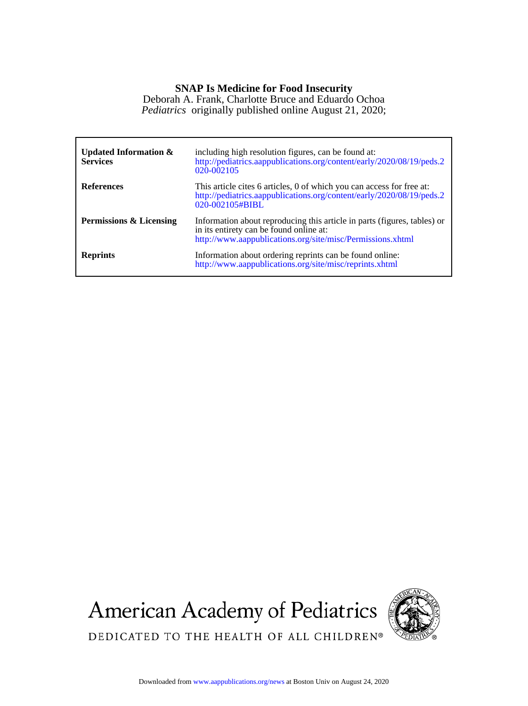## **SNAP Is Medicine for Food Insecurity**

*Pediatrics* originally published online August 21, 2020; Deborah A. Frank, Charlotte Bruce and Eduardo Ochoa

| Updated Information $\&$<br><b>Services</b> | including high resolution figures, can be found at:<br>http://pediatrics.aappublications.org/content/early/2020/08/19/peds.2<br>020-002105                                        |
|---------------------------------------------|-----------------------------------------------------------------------------------------------------------------------------------------------------------------------------------|
| <b>References</b>                           | This article cites 6 articles, 0 of which you can access for free at:<br>http://pediatrics.aappublications.org/content/early/2020/08/19/peds.2<br>020-002105#BIBL                 |
| Permissions & Licensing                     | Information about reproducing this article in parts (figures, tables) or<br>in its entirety can be found online at:<br>http://www.aappublications.org/site/misc/Permissions.xhtml |
| <b>Reprints</b>                             | Information about ordering reprints can be found online:<br>http://www.aappublications.org/site/misc/reprints.xhtml                                                               |

American Academy of Pediatrics



DEDICATED TO THE HEALTH OF ALL CHILDREN®